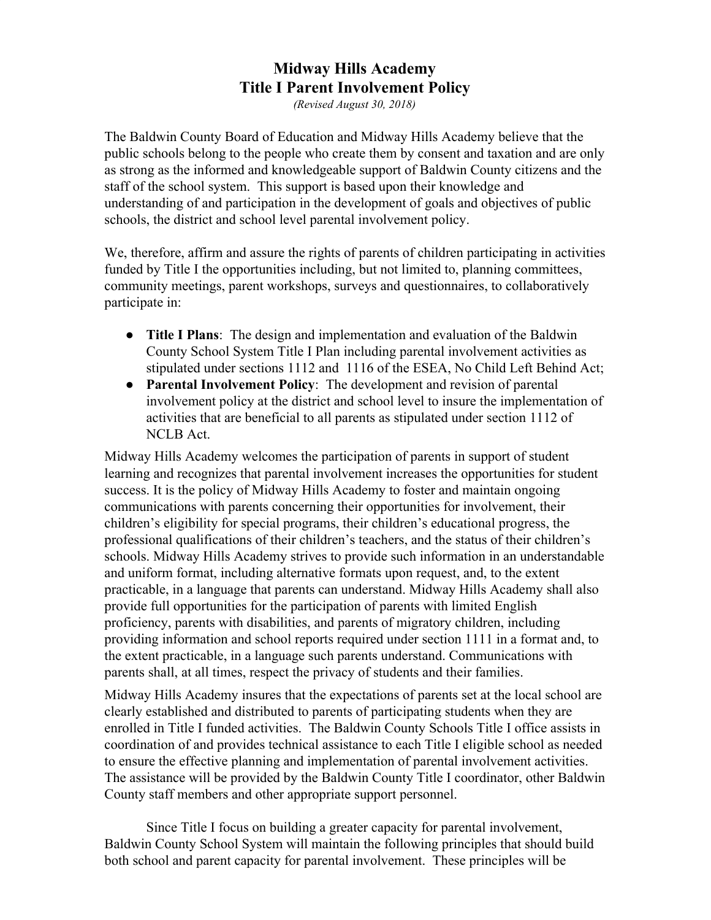## **Midway Hills Academy Title I Parent Involvement Policy**

*(Revised August 30, 2018)*

The Baldwin County Board of Education and Midway Hills Academy believe that the public schools belong to the people who create them by consent and taxation and are only as strong as the informed and knowledgeable support of Baldwin County citizens and the staff of the school system. This support is based upon their knowledge and understanding of and participation in the development of goals and objectives of public schools, the district and school level parental involvement policy.

We, therefore, affirm and assure the rights of parents of children participating in activities funded by Title I the opportunities including, but not limited to, planning committees, community meetings, parent workshops, surveys and questionnaires, to collaboratively participate in:

- **Title I Plans**: The design and implementation and evaluation of the Baldwin County School System Title I Plan including parental involvement activities as stipulated under sections 1112 and 1116 of the ESEA, No Child Left Behind Act;
- **Parental Involvement Policy**: The development and revision of parental involvement policy at the district and school level to insure the implementation of activities that are beneficial to all parents as stipulated under section 1112 of NCLB Act.

Midway Hills Academy welcomes the participation of parents in support of student learning and recognizes that parental involvement increases the opportunities for student success. It is the policy of Midway Hills Academy to foster and maintain ongoing communications with parents concerning their opportunities for involvement, their children's eligibility for special programs, their children's educational progress, the professional qualifications of their children's teachers, and the status of their children's schools. Midway Hills Academy strives to provide such information in an understandable and uniform format, including alternative formats upon request, and, to the extent practicable, in a language that parents can understand. Midway Hills Academy shall also provide full opportunities for the participation of parents with limited English proficiency, parents with disabilities, and parents of migratory children, including providing information and school reports required under section 1111 in a format and, to the extent practicable, in a language such parents understand. Communications with parents shall, at all times, respect the privacy of students and their families.

Midway Hills Academy insures that the expectations of parents set at the local school are clearly established and distributed to parents of participating students when they are enrolled in Title I funded activities. The Baldwin County Schools Title I office assists in coordination of and provides technical assistance to each Title I eligible school as needed to ensure the effective planning and implementation of parental involvement activities. The assistance will be provided by the Baldwin County Title I coordinator, other Baldwin County staff members and other appropriate support personnel.

Since Title I focus on building a greater capacity for parental involvement, Baldwin County School System will maintain the following principles that should build both school and parent capacity for parental involvement. These principles will be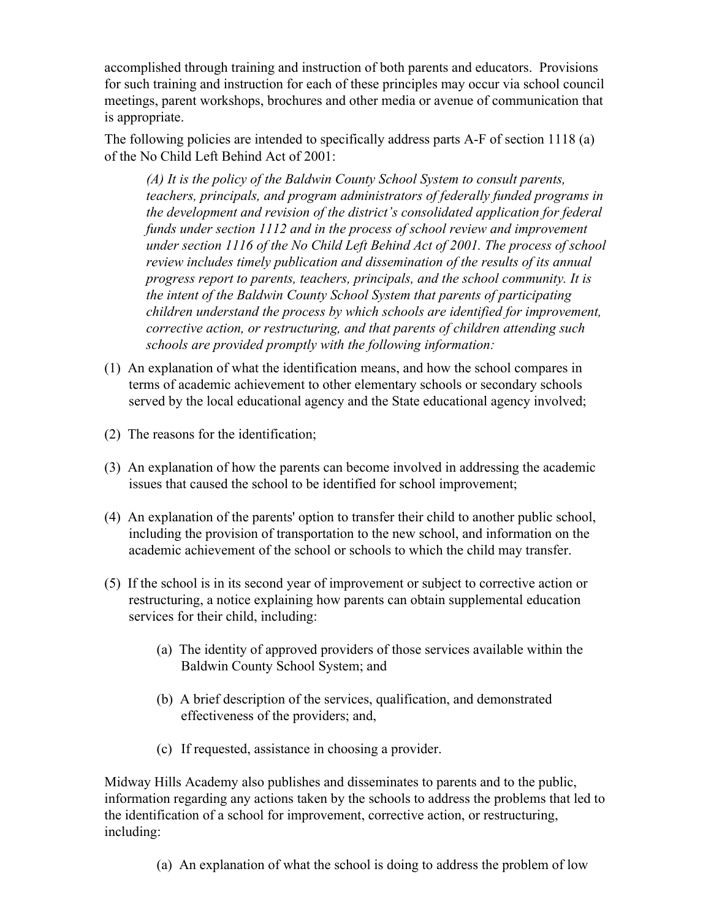accomplished through training and instruction of both parents and educators. Provisions for such training and instruction for each of these principles may occur via school council meetings, parent workshops, brochures and other media or avenue of communication that is appropriate.

The following policies are intended to specifically address parts A-F of section 1118 (a) of the No Child Left Behind Act of 2001:

*(A) It is the policy of the Baldwin County School System to consult parents, teachers, principals, and program administrators of federally funded programs in the development and revision of the district's consolidated application for federal funds under section 1112 and in the process of school review and improvement under section 1116 of the No Child Left Behind Act of 2001. The process of school review includes timely publication and dissemination of the results of its annual progress report to parents, teachers, principals, and the school community. It is the intent of the Baldwin County School System that parents of participating children understand the process by which schools are identified for improvement, corrective action, or restructuring, and that parents of children attending such schools are provided promptly with the following information:*

- (1) An explanation of what the identification means, and how the school compares in terms of academic achievement to other elementary schools or secondary schools served by the local educational agency and the State educational agency involved;
- (2) The reasons for the identification;
- (3) An explanation of how the parents can become involved in addressing the academic issues that caused the school to be identified for school improvement;
- (4) An explanation of the parents' option to transfer their child to another public school, including the provision of transportation to the new school, and information on the academic achievement of the school or schools to which the child may transfer.
- (5) If the school is in its second year of improvement or subject to corrective action or restructuring, a notice explaining how parents can obtain supplemental education services for their child, including:
	- (a) The identity of approved providers of those services available within the Baldwin County School System; and
	- (b) A brief description of the services, qualification, and demonstrated effectiveness of the providers; and,
	- (c) If requested, assistance in choosing a provider.

Midway Hills Academy also publishes and disseminates to parents and to the public, information regarding any actions taken by the schools to address the problems that led to the identification of a school for improvement, corrective action, or restructuring, including:

(a) An explanation of what the school is doing to address the problem of low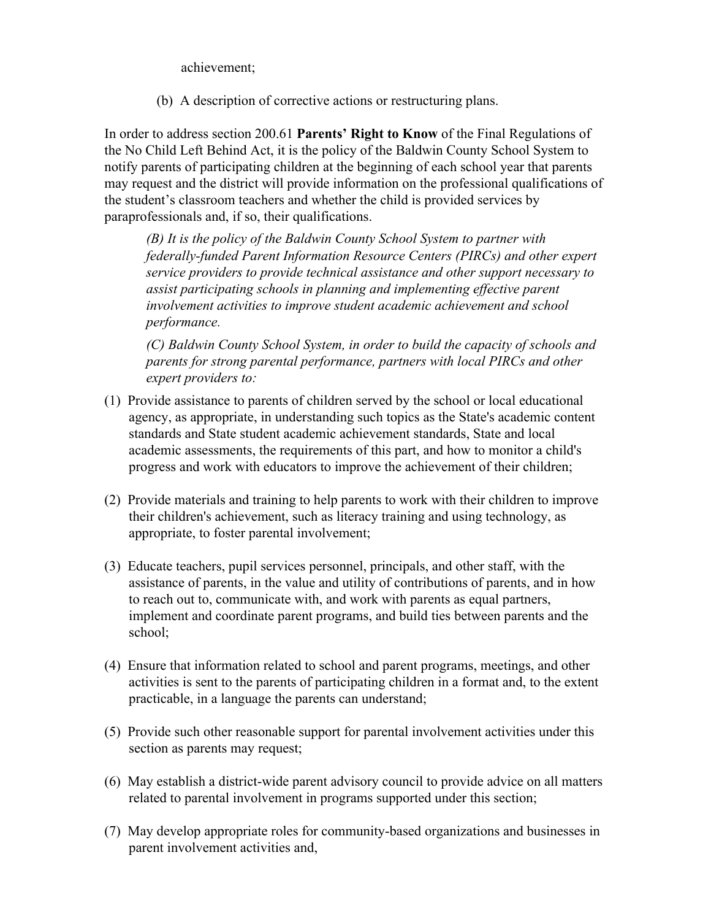achievement;

(b) A description of corrective actions or restructuring plans.

In order to address section 200.61 **Parents' Right to Know** of the Final Regulations of the No Child Left Behind Act, it is the policy of the Baldwin County School System to notify parents of participating children at the beginning of each school year that parents may request and the district will provide information on the professional qualifications of the student's classroom teachers and whether the child is provided services by paraprofessionals and, if so, their qualifications.

*(B) It is the policy of the Baldwin County School System to partner with federally-funded Parent Information Resource Centers (PIRCs) and other expert service providers to provide technical assistance and other support necessary to assist participating schools in planning and implementing effective parent involvement activities to improve student academic achievement and school performance.* 

*(C) Baldwin County School System, in order to build the capacity of schools and parents for strong parental performance, partners with local PIRCs and other expert providers to:*

- (1) Provide assistance to parents of children served by the school or local educational agency, as appropriate, in understanding such topics as the State's academic content standards and State student academic achievement standards, State and local academic assessments, the requirements of this part, and how to monitor a child's progress and work with educators to improve the achievement of their children;
- (2) Provide materials and training to help parents to work with their children to improve their children's achievement, such as literacy training and using technology, as appropriate, to foster parental involvement;
- (3) Educate teachers, pupil services personnel, principals, and other staff, with the assistance of parents, in the value and utility of contributions of parents, and in how to reach out to, communicate with, and work with parents as equal partners, implement and coordinate parent programs, and build ties between parents and the school;
- (4) Ensure that information related to school and parent programs, meetings, and other activities is sent to the parents of participating children in a format and, to the extent practicable, in a language the parents can understand;
- (5) Provide such other reasonable support for parental involvement activities under this section as parents may request;
- (6) May establish a district-wide parent advisory council to provide advice on all matters related to parental involvement in programs supported under this section;
- (7) May develop appropriate roles for community-based organizations and businesses in parent involvement activities and,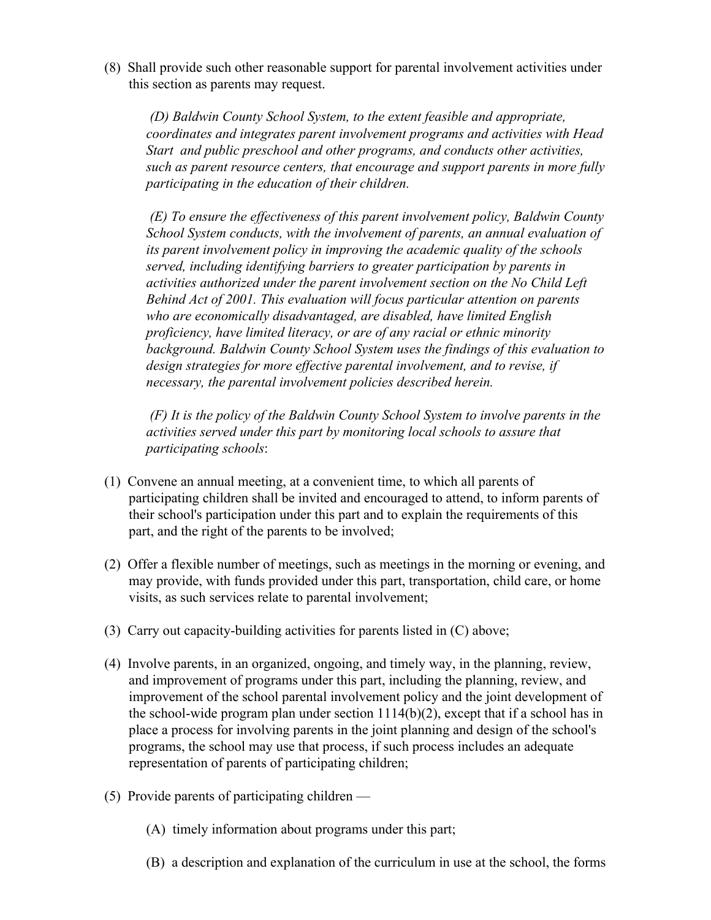(8) Shall provide such other reasonable support for parental involvement activities under this section as parents may request.

 *(D) Baldwin County School System, to the extent feasible and appropriate, coordinates and integrates parent involvement programs and activities with Head Start and public preschool and other programs, and conducts other activities, such as parent resource centers, that encourage and support parents in more fully participating in the education of their children.*

 *(E) To ensure the effectiveness of this parent involvement policy, Baldwin County School System conducts, with the involvement of parents, an annual evaluation of its parent involvement policy in improving the academic quality of the schools served, including identifying barriers to greater participation by parents in activities authorized under the parent involvement section on the No Child Left Behind Act of 2001. This evaluation will focus particular attention on parents who are economically disadvantaged, are disabled, have limited English proficiency, have limited literacy, or are of any racial or ethnic minority background. Baldwin County School System uses the findings of this evaluation to design strategies for more effective parental involvement, and to revise, if necessary, the parental involvement policies described herein.*

 *(F) It is the policy of the Baldwin County School System to involve parents in the activities served under this part by monitoring local schools to assure that participating schools*:

- (1) Convene an annual meeting, at a convenient time, to which all parents of participating children shall be invited and encouraged to attend, to inform parents of their school's participation under this part and to explain the requirements of this part, and the right of the parents to be involved;
- (2) Offer a flexible number of meetings, such as meetings in the morning or evening, and may provide, with funds provided under this part, transportation, child care, or home visits, as such services relate to parental involvement;
- (3) Carry out capacity-building activities for parents listed in (C) above;
- (4) Involve parents, in an organized, ongoing, and timely way, in the planning, review, and improvement of programs under this part, including the planning, review, and improvement of the school parental involvement policy and the joint development of the school-wide program plan under section 1114(b)(2), except that if a school has in place a process for involving parents in the joint planning and design of the school's programs, the school may use that process, if such process includes an adequate representation of parents of participating children;
- (5) Provide parents of participating children
	- (A) timely information about programs under this part;
	- (B) a description and explanation of the curriculum in use at the school, the forms